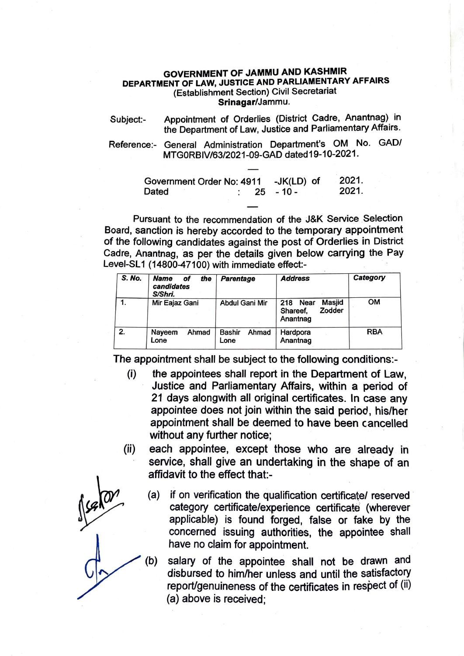## **GOVERNMENT OF JAMMU AND KASHMIR DEPARTMENT OF LAW, JUSTICE AND PARLIAMENTARY AFFAIRS**  (Establishment Section) Civil Secretariat **Srinagar/Jammu.**

- Subject:- Appointment of Orderlies (District Cadre, Anantnag) in the Department of Law, Justice and Parliamentary Affairs.
- Reference:- General Administration Department's OM No. GAD/ MTG0RBIV/63/2021-09-GAD dated19-10-2021.

| Government Order No: 4911 -JK(LD) of |  |  |                   | 2021. |
|--------------------------------------|--|--|-------------------|-------|
| Dated                                |  |  | $\cdot$ 25 - 10 - | 2021. |

Pursuant to the recommendation of the J&K Service Selection Board, sanction is hereby accorded to the temporary appointment of the following candidates against the post of Orderlies in District Cadre, Anantnag, as per the details given below carrying the Pay Level-SL1 (14800-47100) with immediate effect:-

| S. No. | <b>Name</b><br>the<br>of<br>candidates<br>S/Shri. | Parentage               | <b>Address</b>                                          | Category   |
|--------|---------------------------------------------------|-------------------------|---------------------------------------------------------|------------|
|        | Mir Eajaz Gani                                    | <b>Abdul Gani Mir</b>   | Masjid<br>Near<br>218<br>Zodder<br>Shareef,<br>Anantnag | <b>OM</b>  |
| 2.     | Ahmad<br>Nayeem<br>Lone                           | Bashir<br>Ahmad<br>Lone | Hardpora<br>Anantnag                                    | <b>RBA</b> |

The appointment shall be subject to the following conditions:-

- (i) the appointees shall report in the Department of Law, Justice and Parliamentary Affairs, within a period of 21 days alongwith all original certificates. In case any appointee does not join within the said period, his/her appointment shall be deemed to have been cancelled without any further notice;
- (ii) each appointee, except those who are already in service, shall give an undertaking in the shape of an affidavit to the effect that:-
	- (a) if on verification the qualification certificate/ reserved category certificate/experience certificate (wherever applicable) is found forged, false or fake by the concerned issuing authorities, the appointee shall have no claim for appointment.

(b) salary of the appointee shall not be drawn and disbursed to him/her unless and until the satisfactory report/genuineness of the certificates in respect of (ii) (a) above is received;